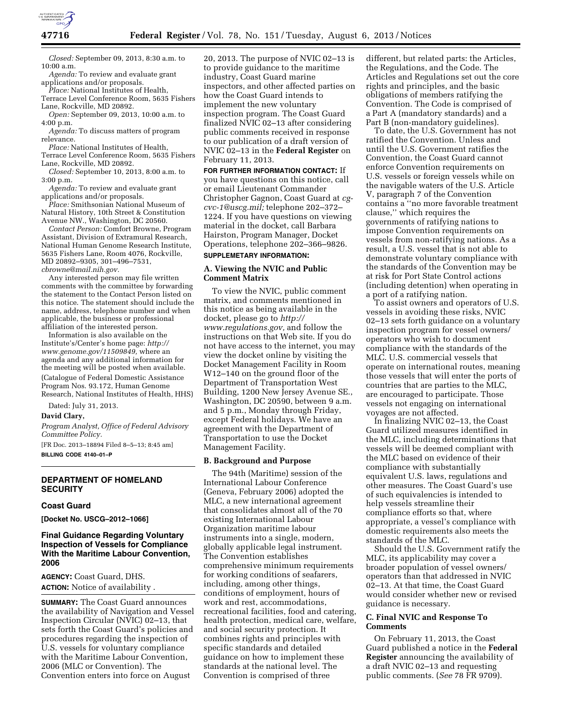

*Closed:* September 09, 2013, 8:30 a.m. to 10:00 a.m.

*Agenda:* To review and evaluate grant applications and/or proposals.

*Place:* National Institutes of Health, Terrace Level Conference Room, 5635 Fishers

Lane, Rockville, MD 20892. *Open:* September 09, 2013, 10:00 a.m. to

4:00 p.m.

*Agenda:* To discuss matters of program relevance.

*Place:* National Institutes of Health,

Terrace Level Conference Room, 5635 Fishers Lane, Rockville, MD 20892.

*Closed:* September 10, 2013, 8:00 a.m. to 3:00 p.m.

*Agenda:* To review and evaluate grant applications and/or proposals.

*Place:* Smithsonian National Museum of Natural History, 10th Street & Constitution Avenue NW., Washington, DC 20560.

*Contact Person:* Comfort Browne, Program Assistant, Division of Extramural Research, National Human Genome Research Institute, 5635 Fishers Lane, Room 4076, Rockville, MD 20892–9305, 301–496–7531, *[cbrowne@mail.nih.gov.](mailto:cbrowne@mail.nih.gov)* 

Any interested person may file written comments with the committee by forwarding the statement to the Contact Person listed on this notice. The statement should include the name, address, telephone number and when applicable, the business or professional affiliation of the interested person.

Information is also available on the Institute's/Center's home page: *[http://](http://www.genome.gov/11509849) [www.genome.gov/11509849,](http://www.genome.gov/11509849)* where an agenda and any additional information for the meeting will be posted when available. (Catalogue of Federal Domestic Assistance Program Nos. 93.172, Human Genome Research, National Institutes of Health, HHS)

Dated: July 31, 2013.

#### **David Clary,**

*Program Analyst, Office of Federal Advisory Committee Policy.* 

[FR Doc. 2013–18894 Filed 8–5–13; 8:45 am] **BILLING CODE 4140–01–P** 

# **DEPARTMENT OF HOMELAND SECURITY**

#### **Coast Guard**

**[Docket No. USCG–2012–1066]** 

## **Final Guidance Regarding Voluntary Inspection of Vessels for Compliance With the Maritime Labour Convention, 2006**

**AGENCY:** Coast Guard, DHS. **ACTION:** Notice of availability .

**SUMMARY:** The Coast Guard announces the availability of Navigation and Vessel Inspection Circular (NVIC) 02–13, that sets forth the Coast Guard's policies and procedures regarding the inspection of U.S. vessels for voluntary compliance with the Maritime Labour Convention, 2006 (MLC or Convention). The Convention enters into force on August

20, 2013. The purpose of NVIC 02–13 is to provide guidance to the maritime industry, Coast Guard marine inspectors, and other affected parties on how the Coast Guard intends to implement the new voluntary inspection program. The Coast Guard finalized NVIC 02–13 after considering public comments received in response to our publication of a draft version of NVIC 02–13 in the **Federal Register** on February 11, 2013.

**FOR FURTHER INFORMATION CONTACT:** If you have questions on this notice, call or email Lieutenant Commander Christopher Gagnon, Coast Guard at *[cg](mailto:cg-cvc-1@uscg.mil)[cvc-1@uscg.mil;](mailto:cg-cvc-1@uscg.mil)* telephone 202–372– 1224. If you have questions on viewing material in the docket, call Barbara Hairston, Program Manager, Docket Operations, telephone 202–366–9826.

#### **SUPPLEMETARY INFORMATION:**

## **A. Viewing the NVIC and Public Comment Matrix**

To view the NVIC, public comment matrix, and comments mentioned in this notice as being available in the docket, please go to *[http://](http://www.regulations.gov)  [www.regulations.gov,](http://www.regulations.gov)* and follow the instructions on that Web site. If you do not have access to the internet, you may view the docket online by visiting the Docket Management Facility in Room W12–140 on the ground floor of the Department of Transportation West Building, 1200 New Jersey Avenue SE., Washington, DC 20590, between 9 a.m. and 5 p.m., Monday through Friday, except Federal holidays. We have an agreement with the Department of Transportation to use the Docket Management Facility.

#### **B. Background and Purpose**

The 94th (Maritime) session of the International Labour Conference (Geneva, February 2006) adopted the MLC, a new international agreement that consolidates almost all of the 70 existing International Labour Organization maritime labour instruments into a single, modern, globally applicable legal instrument. The Convention establishes comprehensive minimum requirements for working conditions of seafarers, including, among other things, conditions of employment, hours of work and rest, accommodations, recreational facilities, food and catering, health protection, medical care, welfare, and social security protection. It combines rights and principles with specific standards and detailed guidance on how to implement these standards at the national level. The Convention is comprised of three

different, but related parts: the Articles, the Regulations, and the Code. The Articles and Regulations set out the core rights and principles, and the basic obligations of members ratifying the Convention. The Code is comprised of a Part A (mandatory standards) and a Part B (non-mandatory guidelines).

To date, the U.S. Government has not ratified the Convention. Unless and until the U.S. Government ratifies the Convention, the Coast Guard cannot enforce Convention requirements on U.S. vessels or foreign vessels while on the navigable waters of the U.S. Article V, paragraph 7 of the Convention contains a ''no more favorable treatment clause,'' which requires the governments of ratifying nations to impose Convention requirements on vessels from non-ratifying nations. As a result, a U.S. vessel that is not able to demonstrate voluntary compliance with the standards of the Convention may be at risk for Port State Control actions (including detention) when operating in a port of a ratifying nation.

To assist owners and operators of U.S. vessels in avoiding these risks, NVIC 02–13 sets forth guidance on a voluntary inspection program for vessel owners/ operators who wish to document compliance with the standards of the MLC. U.S. commercial vessels that operate on international routes, meaning those vessels that will enter the ports of countries that are parties to the MLC, are encouraged to participate. Those vessels not engaging on international voyages are not affected.

In finalizing NVIC 02–13, the Coast Guard utilized measures identified in the MLC, including determinations that vessels will be deemed compliant with the MLC based on evidence of their compliance with substantially equivalent U.S. laws, regulations and other measures. The Coast Guard's use of such equivalencies is intended to help vessels streamline their compliance efforts so that, where appropriate, a vessel's compliance with domestic requirements also meets the standards of the MLC.

Should the U.S. Government ratify the MLC, its applicability may cover a broader population of vessel owners/ operators than that addressed in NVIC 02–13. At that time, the Coast Guard would consider whether new or revised guidance is necessary.

### **C. Final NVIC and Response To Comments**

On February 11, 2013, the Coast Guard published a notice in the **Federal Register** announcing the availability of a draft NVIC 02–13 and requesting public comments. (*See* 78 FR 9709).